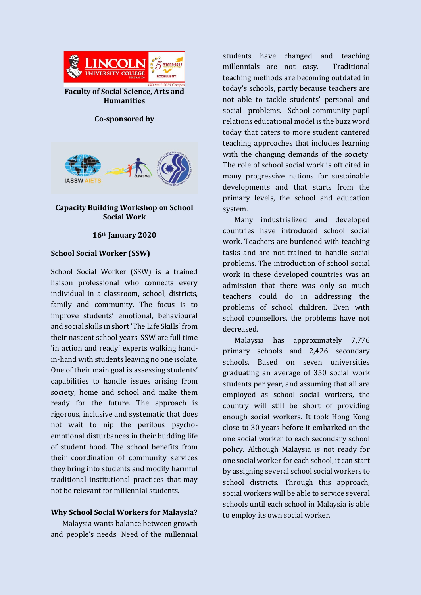

**Faculty of Social Science, Arts and Humanities**

### **Co-sponsored by**



# **Capacity Building Workshop on School Social Work**

### **16th January 2020**

# **School Social Worker (SSW)**

School Social Worker (SSW) is a trained liaison professional who connects every individual in a classroom, school, districts, family and community. The focus is to improve students' emotional, behavioural and social skills in short 'The Life Skills' from their nascent school years. SSW are full time 'in action and ready' experts walking handin-hand with students leaving no one isolate. One of their main goal is assessing students' capabilities to handle issues arising from society, home and school and make them ready for the future. The approach is rigorous, inclusive and systematic that does not wait to nip the perilous psychoemotional disturbances in their budding life of student hood. The school benefits from their coordination of community services they bring into students and modify harmful traditional institutional practices that may not be relevant for millennial students.

# **Why School Social Workers for Malaysia?**

Malaysia wants balance between growth and people's needs. Need of the millennial

students have changed and teaching millennials are not easy. Traditional teaching methods are becoming outdated in today's schools, partly because teachers are not able to tackle students' personal and social problems. School-community-pupil relations educational model is the buzz word today that caters to more student cantered teaching approaches that includes learning with the changing demands of the society. The role of school social work is oft cited in many progressive nations for sustainable developments and that starts from the primary levels, the school and education system.

Many industrialized and developed countries have introduced school social work. Teachers are burdened with teaching tasks and are not trained to handle social problems. The introduction of school social work in these developed countries was an admission that there was only so much teachers could do in addressing the problems of school children. Even with school counsellors, the problems have not decreased.

Malaysia has approximately 7,776 primary schools and 2,426 secondary schools. Based on seven universities graduating an average of 350 social work students per year, and assuming that all are employed as school social workers, the country will still be short of providing enough social workers. It took Hong Kong close to 30 years before it embarked on the one social worker to each secondary school policy. Although Malaysia is not ready for one social worker for each school, it can start by assigning several school social workers to school districts. Through this approach, social workers will be able to service several schools until each school in Malaysia is able to employ its own social worker.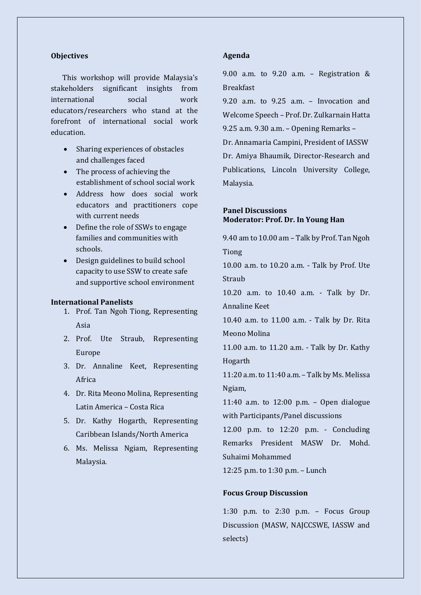### **Objectives**

This workshop will provide Malaysia's stakeholders significant insights from international social work educators/researchers who stand at the forefront of international social work education.

- Sharing experiences of obstacles and challenges faced
- The process of achieving the establishment of school social work
- Address how does social work educators and practitioners cope with current needs
- Define the role of SSWs to engage families and communities with schools.
- Design guidelines to build school capacity to use SSW to create safe and supportive school environment

### **International Panelists**

- 1. Prof. Tan Ngoh Tiong, Representing Asia
- 2. Prof. Ute Straub, Representing Europe
- 3. Dr. Annaline Keet, Representing Africa
- 4. Dr. Rita Meono Molina, Representing Latin America – Costa Rica
- 5. Dr. Kathy Hogarth, Representing Caribbean Islands/North America
- 6. Ms. Melissa Ngiam, Representing Malaysia.

## **Agenda**

9.00 a.m. to 9.20 a.m. - Registration  $\&$ **Breakfast** 

9.20 a.m. to 9.25 a.m. – Invocation and Welcome Speech – Prof. Dr. Zulkarnain Hatta 9.25 a.m. 9.30 a.m. – Opening Remarks – Dr. Annamaria Campini, President of IASSW Dr. Amiya Bhaumik, Director-Research and Publications, Lincoln University College, Malaysia.

# **Panel Discussions Moderator: Prof. Dr. In Young Han**

9.40 am to 10.00 am – Talk by Prof. Tan Ngoh Tiong 10.00 a.m. to 10.20 a.m. - Talk by Prof. Ute Straub

10.20 a.m. to 10.40 a.m. - Talk by Dr. Annaline Keet

10.40 a.m. to 11.00 a.m. - Talk by Dr. Rita Meono Molina

11.00 a.m. to 11.20 a.m. - Talk by Dr. Kathy Hogarth

11:20 a.m.to 11:40 a.m. – Talk by Ms. Melissa Ngiam,

11:40 a.m. to 12:00 p.m. – Open dialogue with Participants/Panel discussions

12.00 p.m. to 12:20 p.m. - Concluding Remarks President MASW Dr. Mohd. Suhaimi Mohammed

12:25 p.m. to 1:30 p.m. – Lunch

## **Focus Group Discussion**

1:30 p.m. to 2:30 p.m. – Focus Group Discussion (MASW, NAJCCSWE, IASSW and selects)